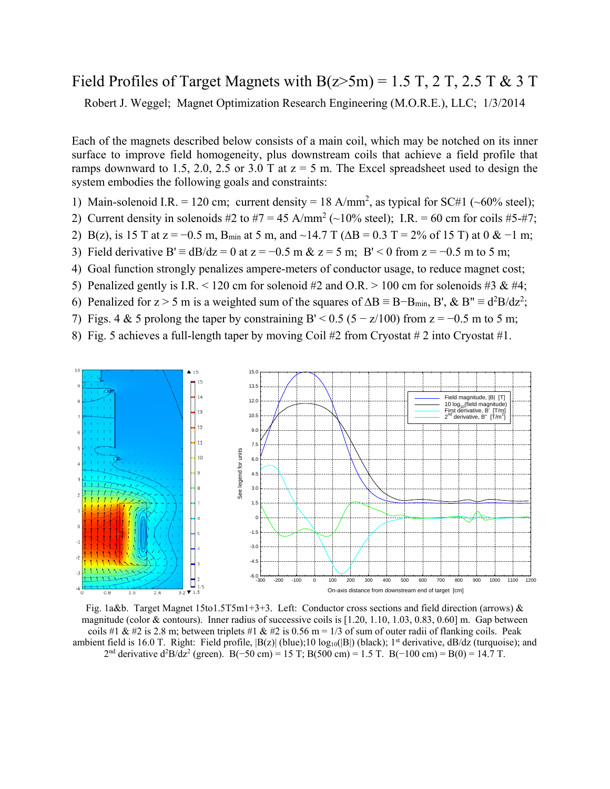## Field Profiles of Target Magnets with  $B(z>5m) = 1.5$  T, 2 T, 2.5 T & 3 T

Robert J. Weggel; Magnet Optimization Research Engineering (M.O.R.E.), LLC; 1/3/2014

Each of the magnets described below consists of a main coil, which may be notched on its inner surface to improve field homogeneity, plus downstream coils that achieve a field profile that ramps downward to 1.5, 2.0, 2.5 or 3.0 T at  $z = 5$  m. The Excel spreadsheet used to design the system embodies the following goals and constraints:

- 1) Main-solenoid I.R. = 120 cm; current density = 18 A/mm<sup>2</sup>, as typical for SC#1 (~60% steel);
- 2) Current density in solenoids #2 to #7 = 45 A/mm<sup>2</sup> ( $\sim$ 10% steel); I.R. = 60 cm for coils #5-#7;
- 2) B(z), is 15 T at  $z = -0.5$  m, B<sub>min</sub> at 5 m, and ~14.7 T ( $\Delta B = 0.3$  T = 2% of 15 T) at 0 & -1 m;
- 3) Field derivative B'  $\equiv$  dB/dz = 0 at z = -0.5 m & z = 5 m; B' < 0 from z = -0.5 m to 5 m;
- 4) Goal function strongly penalizes ampere-meters of conductor usage, to reduce magnet cost;
- 5) Penalized gently is I.R. < 120 cm for solenoid #2 and O.R. > 100 cm for solenoids #3 & #4;
- 6) Penalized for  $z > 5$  m is a weighted sum of the squares of  $\Delta B = B B_{min}$ , B', & B" ≡ d<sup>2</sup>B/dz<sup>2</sup>;
- 7) Figs. 4 & 5 prolong the taper by constraining B' <  $0.5$  ( $5 z/100$ ) from  $z = -0.5$  m to 5 m;
- 8) Fig. 5 achieves a full-length taper by moving Coil #2 from Cryostat #2 into Cryostat #1.



Fig. 1a&b. Target Magnet 15to1.5T5m1+3+3. Left: Conductor cross sections and field direction (arrows) & magnitude (color & contours). Inner radius of successive coils is [1.20, 1.10, 1.03, 0.83, 0.60] m. Gap between coils #1 & #2 is 2.8 m; between triplets #1 & #2 is 0.56 m = 1/3 of sum of outer radii of flanking coils. Peak ambient field is 16.0 T. Right: Field profile,  $|B(z)|$  (blue); 10 log<sub>10</sub>( $|B|$ ) (black); 1<sup>st</sup> derivative, dB/dz (turquoise); and 2<sup>nd</sup> derivative d<sup>2</sup>B/dz<sup>2</sup> (green). B(−50 cm) = 15 T; B(500 cm) = 1.5 T. B(−100 cm) = B(0) = 14.7 T.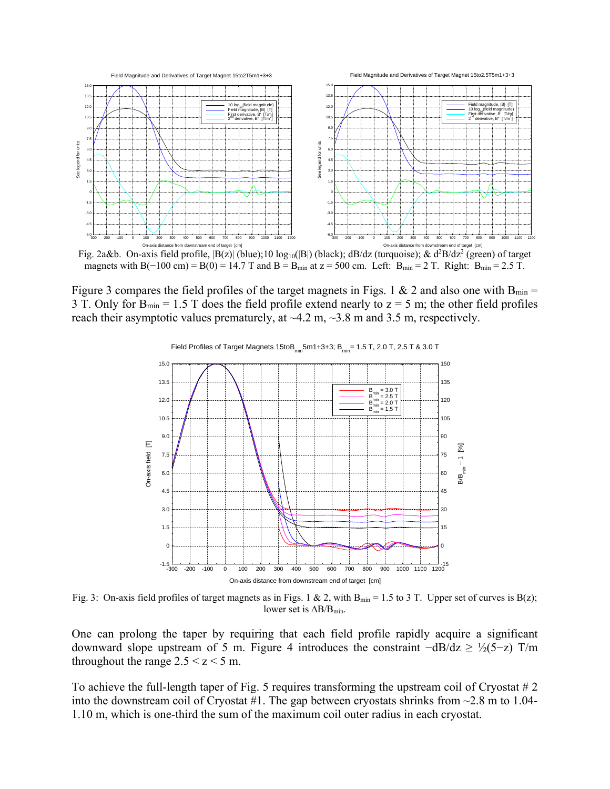

On-axis distance from downstream end of target [cm]<br>Fig. 2a&b. On-axis field profile,  $|B(z)|$  (blue);10  $log_{10}(|B|)$  (black); dB/dz (turquoise); & d<sup>2</sup>B/dz<sup>2</sup> (green) of target magnets with B(−100 cm) = B(0) = 14.7 T and B = B<sub>min</sub> at z = 500 cm. Left: B<sub>min</sub> = 2 T. Right: B<sub>min</sub> = 2.5 T.

Figure 3 compares the field profiles of the target magnets in Figs. 1 & 2 and also one with  $B_{min}$  = 3 T. Only for  $B_{\text{min}} = 1.5$  T does the field profile extend nearly to  $z = 5$  m; the other field profiles reach their asymptotic values prematurely, at  $\sim$ 4.2 m,  $\sim$ 3.8 m and 3.5 m, respectively.



Fig. 3: On-axis field profiles of target magnets as in Figs. 1 & 2, with  $B_{min} = 1.5$  to 3 T. Upper set of curves is  $B(z)$ ; lower set is  $\Delta B/B_{min}$ .

One can prolong the taper by requiring that each field profile rapidly acquire a significant downward slope upstream of 5 m. Figure 4 introduces the constraint  $-dB/dz \geq \frac{1}{2}(5-z)$  T/m throughout the range  $2.5 \le z \le 5$  m.

To achieve the full-length taper of Fig. 5 requires transforming the upstream coil of Cryostat # 2 into the downstream coil of Cryostat #1. The gap between cryostats shrinks from  $\sim$ 2.8 m to 1.04-1.10 m, which is one-third the sum of the maximum coil outer radius in each cryostat.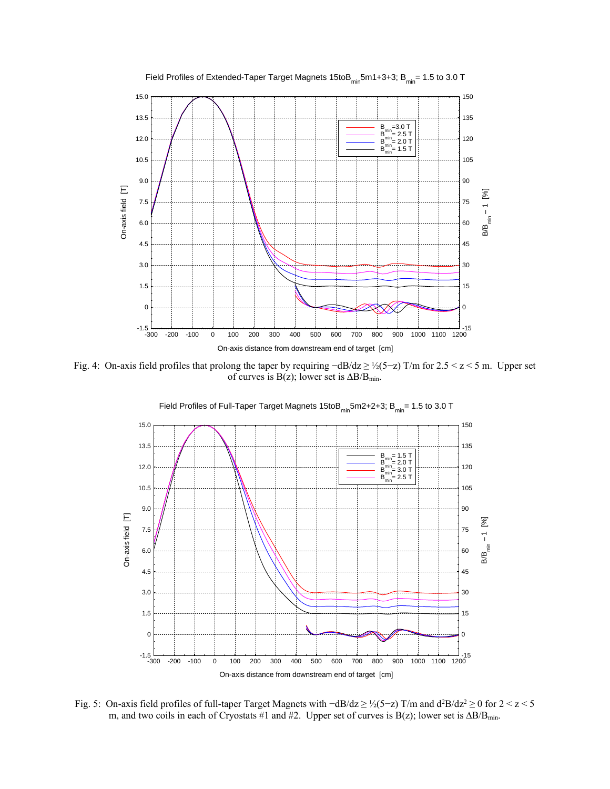

Fig. 4: On-axis field profiles that prolong the taper by requiring −dB/dz ≥ ½(5−z) T/m for 2.5 < z < 5 m. Upper set of curves is B(z); lower set is ∆B/Bmin.



Field Profiles of Full-Taper Target Magnets 15to $B_{min}$ 5m2+2+3;  $B_{min}$ = 1.5 to 3.0 T

Fig. 5: On-axis field profiles of full-taper Target Magnets with  $-dB/dz \geq \frac{1}{2}(5-z)$  T/m and  $d^2B/dz^2 \geq 0$  for  $2 \leq z \leq 5$ m, and two coils in each of Cryostats #1 and #2. Upper set of curves is B(z); lower set is  $\Delta B/B_{min}$ .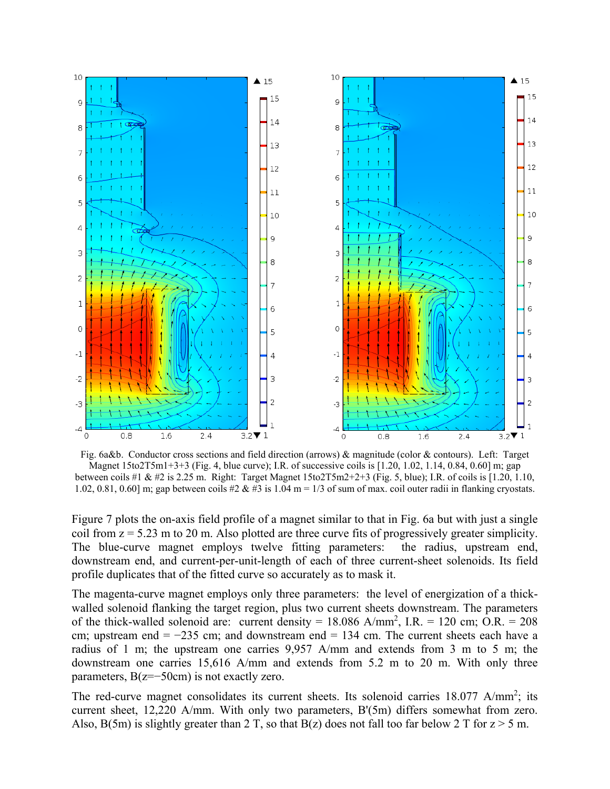

Fig. 6a&b. Conductor cross sections and field direction (arrows) & magnitude (color & contours). Left: Target Magnet  $15\text{to}2T5\text{m}1+3+3$  (Fig. 4, blue curve); I.R. of successive coils is [1.20, 1.02, 1.14, 0.84, 0.60] m; gap between coils #1 & #2 is 2.25 m. Right: Target Magnet 15to2T5m2+2+3 (Fig. 5, blue); I.R. of coils is [1.20, 1.10, 1.02, 0.81, 0.60] m; gap between coils #2 & #3 is 1.04 m = 1/3 of sum of max. coil outer radii in flanking cryostats.

Figure 7 plots the on-axis field profile of a magnet similar to that in Fig. 6a but with just a single coil from  $z = 5.23$  m to 20 m. Also plotted are three curve fits of progressively greater simplicity. The blue-curve magnet employs twelve fitting parameters: the radius, upstream end, downstream end, and current-per-unit-length of each of three current-sheet solenoids. Its field profile duplicates that of the fitted curve so accurately as to mask it.

The magenta-curve magnet employs only three parameters: the level of energization of a thickwalled solenoid flanking the target region, plus two current sheets downstream. The parameters of the thick-walled solenoid are: current density =  $18.086$  A/mm<sup>2</sup>, I.R. =  $120$  cm; O.R. =  $208$ cm; upstream end = −235 cm; and downstream end = 134 cm. The current sheets each have a radius of 1 m; the upstream one carries 9,957 A/mm and extends from 3 m to 5 m; the downstream one carries 15,616 A/mm and extends from 5.2 m to 20 m. With only three parameters,  $B(z=-50cm)$  is not exactly zero.

The red-curve magnet consolidates its current sheets. Its solenoid carries  $18.077$  A/mm<sup>2</sup>; its current sheet, 12,220 A/mm. With only two parameters, B'(5m) differs somewhat from zero. Also, B(5m) is slightly greater than 2 T, so that B(z) does not fall too far below 2 T for  $z > 5$  m.